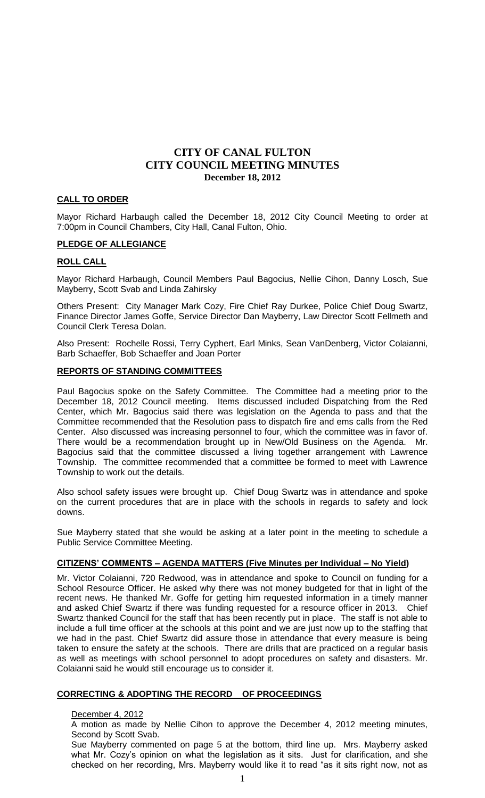#### **CALL TO ORDER**

Mayor Richard Harbaugh called the December 18, 2012 City Council Meeting to order at 7:00pm in Council Chambers, City Hall, Canal Fulton, Ohio.

#### **PLEDGE OF ALLEGIANCE**

#### **ROLL CALL**

Mayor Richard Harbaugh, Council Members Paul Bagocius, Nellie Cihon, Danny Losch, Sue Mayberry, Scott Svab and Linda Zahirsky

Others Present: City Manager Mark Cozy, Fire Chief Ray Durkee, Police Chief Doug Swartz, Finance Director James Goffe, Service Director Dan Mayberry, Law Director Scott Fellmeth and Council Clerk Teresa Dolan.

Also Present: Rochelle Rossi, Terry Cyphert, Earl Minks, Sean VanDenberg, Victor Colaianni, Barb Schaeffer, Bob Schaeffer and Joan Porter

#### **REPORTS OF STANDING COMMITTEES**

Paul Bagocius spoke on the Safety Committee. The Committee had a meeting prior to the December 18, 2012 Council meeting. Items discussed included Dispatching from the Red Center, which Mr. Bagocius said there was legislation on the Agenda to pass and that the Committee recommended that the Resolution pass to dispatch fire and ems calls from the Red Center. Also discussed was increasing personnel to four, which the committee was in favor of. There would be a recommendation brought up in New/Old Business on the Agenda. Mr. Bagocius said that the committee discussed a living together arrangement with Lawrence Township. The committee recommended that a committee be formed to meet with Lawrence Township to work out the details.

Also school safety issues were brought up. Chief Doug Swartz was in attendance and spoke on the current procedures that are in place with the schools in regards to safety and lock downs.

Sue Mayberry stated that she would be asking at a later point in the meeting to schedule a Public Service Committee Meeting.

### **CITIZENS' COMMENTS – AGENDA MATTERS (Five Minutes per Individual – No Yield)**

Mr. Victor Colaianni, 720 Redwood, was in attendance and spoke to Council on funding for a School Resource Officer. He asked why there was not money budgeted for that in light of the recent news. He thanked Mr. Goffe for getting him requested information in a timely manner and asked Chief Swartz if there was funding requested for a resource officer in 2013. Chief Swartz thanked Council for the staff that has been recently put in place. The staff is not able to include a full time officer at the schools at this point and we are just now up to the staffing that we had in the past. Chief Swartz did assure those in attendance that every measure is being taken to ensure the safety at the schools. There are drills that are practiced on a regular basis as well as meetings with school personnel to adopt procedures on safety and disasters. Mr. Colaianni said he would still encourage us to consider it.

### **CORRECTING & ADOPTING THE RECORD OF PROCEEDINGS**

#### December 4, 2012

A motion as made by Nellie Cihon to approve the December 4, 2012 meeting minutes, Second by Scott Svab.

Sue Mayberry commented on page 5 at the bottom, third line up. Mrs. Mayberry asked what Mr. Cozy's opinion on what the legislation as it sits. Just for clarification, and she checked on her recording, Mrs. Mayberry would like it to read "as it sits right now, not as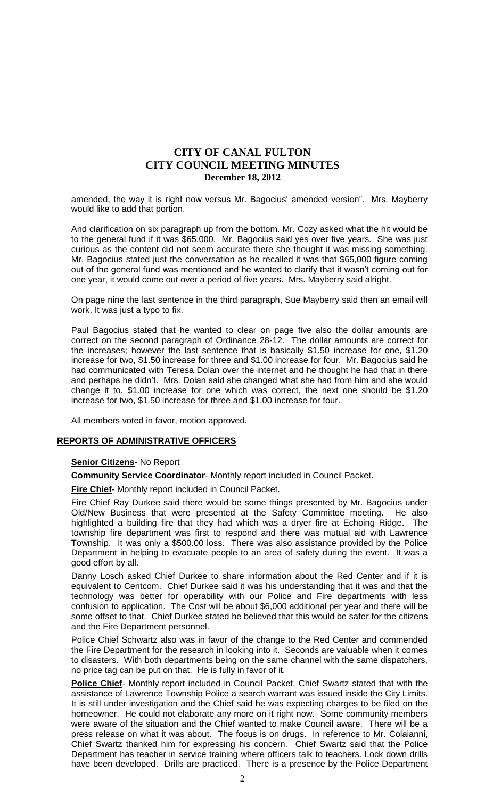amended, the way it is right now versus Mr. Bagocius' amended version". Mrs. Mayberry would like to add that portion.

And clarification on six paragraph up from the bottom. Mr. Cozy asked what the hit would be to the general fund if it was \$65,000. Mr. Bagocius said yes over five years. She was just curious as the content did not seem accurate there she thought it was missing something. Mr. Bagocius stated just the conversation as he recalled it was that \$65,000 figure coming out of the general fund was mentioned and he wanted to clarify that it wasn't coming out for one year, it would come out over a period of five years. Mrs. Mayberry said alright.

On page nine the last sentence in the third paragraph, Sue Mayberry said then an email will work. It was just a typo to fix.

Paul Bagocius stated that he wanted to clear on page five also the dollar amounts are correct on the second paragraph of Ordinance 28-12. The dollar amounts are correct for the increases; however the last sentence that is basically \$1.50 increase for one, \$1.20 increase for two, \$1.50 increase for three and \$1.00 increase for four. Mr. Bagocius said he had communicated with Teresa Dolan over the internet and he thought he had that in there and perhaps he didn't. Mrs. Dolan said she changed what she had from him and she would change it to. \$1.00 increase for one which was correct, the next one should be \$1.20 increase for two, \$1.50 increase for three and \$1.00 increase for four.

All members voted in favor, motion approved.

#### **REPORTS OF ADMINISTRATIVE OFFICERS**

#### **Senior Citizens**- No Report

**Community Service Coordinator**- Monthly report included in Council Packet.

**Fire Chief**- Monthly report included in Council Packet.

Fire Chief Ray Durkee said there would be some things presented by Mr. Bagocius under Old/New Business that were presented at the Safety Committee meeting. He also highlighted a building fire that they had which was a dryer fire at Echoing Ridge. The township fire department was first to respond and there was mutual aid with Lawrence Township. It was only a \$500.00 loss. There was also assistance provided by the Police Department in helping to evacuate people to an area of safety during the event. It was a good effort by all.

Danny Losch asked Chief Durkee to share information about the Red Center and if it is equivalent to Centcom. Chief Durkee said it was his understanding that it was and that the technology was better for operability with our Police and Fire departments with less confusion to application. The Cost will be about \$6,000 additional per year and there will be some offset to that. Chief Durkee stated he believed that this would be safer for the citizens and the Fire Department personnel.

Police Chief Schwartz also was in favor of the change to the Red Center and commended the Fire Department for the research in looking into it. Seconds are valuable when it comes to disasters. With both departments being on the same channel with the same dispatchers, no price tag can be put on that. He is fully in favor of it.

**Police Chief**- Monthly report included in Council Packet. Chief Swartz stated that with the assistance of Lawrence Township Police a search warrant was issued inside the City Limits. It is still under investigation and the Chief said he was expecting charges to be filed on the homeowner. He could not elaborate any more on it right now. Some community members were aware of the situation and the Chief wanted to make Council aware. There will be a press release on what it was about. The focus is on drugs. In reference to Mr. Colaianni, Chief Swartz thanked him for expressing his concern. Chief Swartz said that the Police Department has teacher in service training where officers talk to teachers. Lock down drills have been developed. Drills are practiced. There is a presence by the Police Department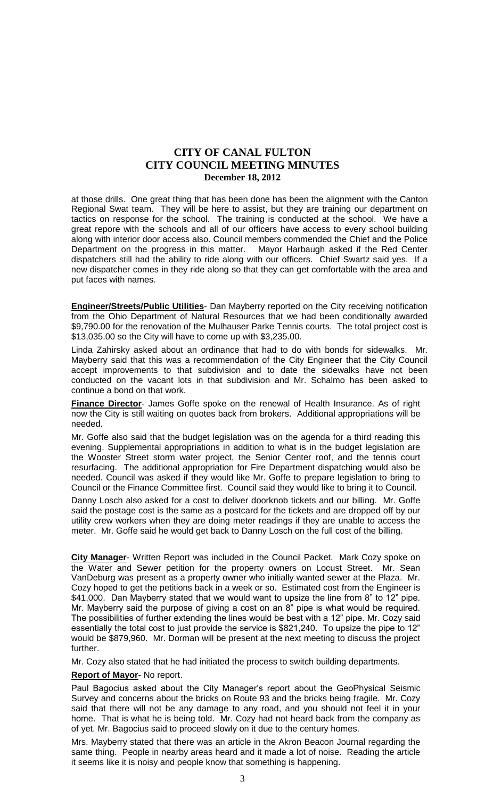at those drills. One great thing that has been done has been the alignment with the Canton Regional Swat team. They will be here to assist, but they are training our department on tactics on response for the school. The training is conducted at the school. We have a great repore with the schools and all of our officers have access to every school building along with interior door access also. Council members commended the Chief and the Police Department on the progress in this matter. Mayor Harbaugh asked if the Red Center dispatchers still had the ability to ride along with our officers. Chief Swartz said yes. If a new dispatcher comes in they ride along so that they can get comfortable with the area and put faces with names.

**Engineer/Streets/Public Utilities**- Dan Mayberry reported on the City receiving notification from the Ohio Department of Natural Resources that we had been conditionally awarded \$9,790.00 for the renovation of the Mulhauser Parke Tennis courts. The total project cost is \$13,035.00 so the City will have to come up with \$3,235.00.

Linda Zahirsky asked about an ordinance that had to do with bonds for sidewalks. Mr. Mayberry said that this was a recommendation of the City Engineer that the City Council accept improvements to that subdivision and to date the sidewalks have not been conducted on the vacant lots in that subdivision and Mr. Schalmo has been asked to continue a bond on that work.

**Finance Director**- James Goffe spoke on the renewal of Health Insurance. As of right now the City is still waiting on quotes back from brokers. Additional appropriations will be needed.

Mr. Goffe also said that the budget legislation was on the agenda for a third reading this evening. Supplemental appropriations in addition to what is in the budget legislation are the Wooster Street storm water project, the Senior Center roof, and the tennis court resurfacing. The additional appropriation for Fire Department dispatching would also be needed. Council was asked if they would like Mr. Goffe to prepare legislation to bring to Council or the Finance Committee first. Council said they would like to bring it to Council.

Danny Losch also asked for a cost to deliver doorknob tickets and our billing. Mr. Goffe said the postage cost is the same as a postcard for the tickets and are dropped off by our utility crew workers when they are doing meter readings if they are unable to access the meter. Mr. Goffe said he would get back to Danny Losch on the full cost of the billing.

**City Manager**- Written Report was included in the Council Packet. Mark Cozy spoke on the Water and Sewer petition for the property owners on Locust Street. Mr. Sean VanDeburg was present as a property owner who initially wanted sewer at the Plaza. Mr. Cozy hoped to get the petitions back in a week or so. Estimated cost from the Engineer is \$41,000. Dan Mayberry stated that we would want to upsize the line from 8" to 12" pipe. Mr. Mayberry said the purpose of giving a cost on an 8" pipe is what would be required. The possibilities of further extending the lines would be best with a 12" pipe. Mr. Cozy said essentially the total cost to just provide the service is \$821,240. To upsize the pipe to 12" would be \$879,960. Mr. Dorman will be present at the next meeting to discuss the project further.

Mr. Cozy also stated that he had initiated the process to switch building departments.

#### **Report of Mayor**- No report.

Paul Bagocius asked about the City Manager's report about the GeoPhysical Seismic Survey and concerns about the bricks on Route 93 and the bricks being fragile. Mr. Cozy said that there will not be any damage to any road, and you should not feel it in your home. That is what he is being told. Mr. Cozy had not heard back from the company as of yet. Mr. Bagocius said to proceed slowly on it due to the century homes.

Mrs. Mayberry stated that there was an article in the Akron Beacon Journal regarding the same thing. People in nearby areas heard and it made a lot of noise. Reading the article it seems like it is noisy and people know that something is happening.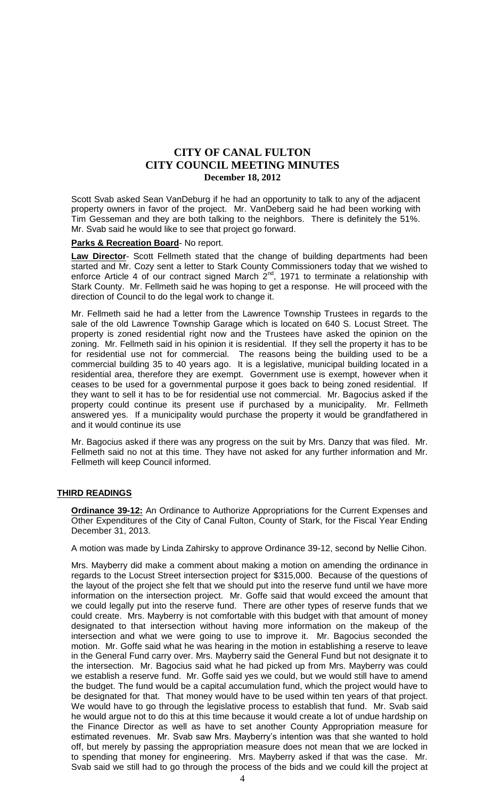Scott Svab asked Sean VanDeburg if he had an opportunity to talk to any of the adjacent property owners in favor of the project. Mr. VanDeberg said he had been working with Tim Gesseman and they are both talking to the neighbors. There is definitely the 51%. Mr. Svab said he would like to see that project go forward.

#### **Parks & Recreation Board**- No report.

**Law Director**- Scott Fellmeth stated that the change of building departments had been started and Mr. Cozy sent a letter to Stark County Commissioners today that we wished to enforce Article 4 of our contract signed March  $2^{nd}$ , 1971 to terminate a relationship with Stark County. Mr. Fellmeth said he was hoping to get a response. He will proceed with the direction of Council to do the legal work to change it.

Mr. Fellmeth said he had a letter from the Lawrence Township Trustees in regards to the sale of the old Lawrence Township Garage which is located on 640 S. Locust Street. The property is zoned residential right now and the Trustees have asked the opinion on the zoning. Mr. Fellmeth said in his opinion it is residential. If they sell the property it has to be for residential use not for commercial. The reasons being the building used to be a commercial building 35 to 40 years ago. It is a legislative, municipal building located in a residential area, therefore they are exempt. Government use is exempt, however when it ceases to be used for a governmental purpose it goes back to being zoned residential. If they want to sell it has to be for residential use not commercial. Mr. Bagocius asked if the property could continue its present use if purchased by a municipality. Mr. Fellmeth answered yes. If a municipality would purchase the property it would be grandfathered in and it would continue its use

Mr. Bagocius asked if there was any progress on the suit by Mrs. Danzy that was filed. Mr. Fellmeth said no not at this time. They have not asked for any further information and Mr. Fellmeth will keep Council informed.

#### **THIRD READINGS**

**Ordinance 39-12:** An Ordinance to Authorize Appropriations for the Current Expenses and Other Expenditures of the City of Canal Fulton, County of Stark, for the Fiscal Year Ending December 31, 2013.

A motion was made by Linda Zahirsky to approve Ordinance 39-12, second by Nellie Cihon.

Mrs. Mayberry did make a comment about making a motion on amending the ordinance in regards to the Locust Street intersection project for \$315,000. Because of the questions of the layout of the project she felt that we should put into the reserve fund until we have more information on the intersection project. Mr. Goffe said that would exceed the amount that we could legally put into the reserve fund. There are other types of reserve funds that we could create. Mrs. Mayberry is not comfortable with this budget with that amount of money designated to that intersection without having more information on the makeup of the intersection and what we were going to use to improve it. Mr. Bagocius seconded the motion. Mr. Goffe said what he was hearing in the motion in establishing a reserve to leave in the General Fund carry over. Mrs. Mayberry said the General Fund but not designate it to the intersection. Mr. Bagocius said what he had picked up from Mrs. Mayberry was could we establish a reserve fund. Mr. Goffe said yes we could, but we would still have to amend the budget. The fund would be a capital accumulation fund, which the project would have to be designated for that. That money would have to be used within ten years of that project. We would have to go through the legislative process to establish that fund. Mr. Svab said he would argue not to do this at this time because it would create a lot of undue hardship on the Finance Director as well as have to set another County Appropriation measure for estimated revenues. Mr. Svab saw Mrs. Mayberry's intention was that she wanted to hold off, but merely by passing the appropriation measure does not mean that we are locked in to spending that money for engineering. Mrs. Mayberry asked if that was the case. Mr. Svab said we still had to go through the process of the bids and we could kill the project at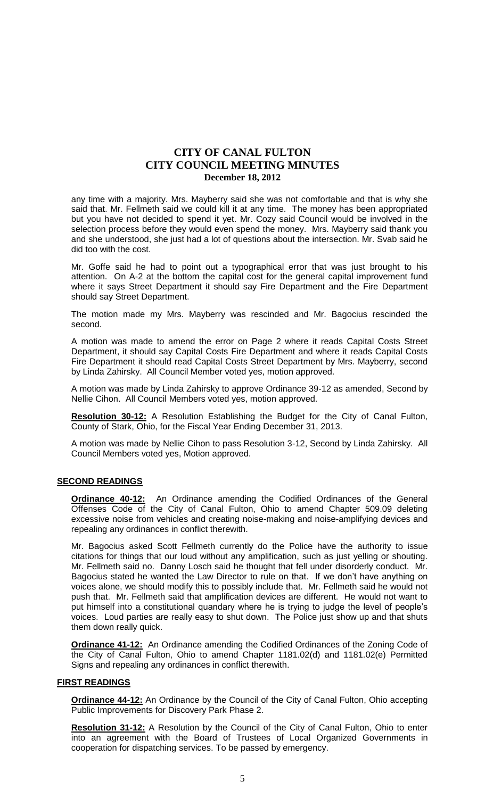any time with a majority. Mrs. Mayberry said she was not comfortable and that is why she said that. Mr. Fellmeth said we could kill it at any time. The money has been appropriated but you have not decided to spend it yet. Mr. Cozy said Council would be involved in the selection process before they would even spend the money. Mrs. Mayberry said thank you and she understood, she just had a lot of questions about the intersection. Mr. Svab said he did too with the cost.

Mr. Goffe said he had to point out a typographical error that was just brought to his attention. On A-2 at the bottom the capital cost for the general capital improvement fund where it says Street Department it should say Fire Department and the Fire Department should say Street Department.

The motion made my Mrs. Mayberry was rescinded and Mr. Bagocius rescinded the second.

A motion was made to amend the error on Page 2 where it reads Capital Costs Street Department, it should say Capital Costs Fire Department and where it reads Capital Costs Fire Department it should read Capital Costs Street Department by Mrs. Mayberry, second by Linda Zahirsky. All Council Member voted yes, motion approved.

A motion was made by Linda Zahirsky to approve Ordinance 39-12 as amended, Second by Nellie Cihon. All Council Members voted yes, motion approved.

**Resolution 30-12:** A Resolution Establishing the Budget for the City of Canal Fulton, County of Stark, Ohio, for the Fiscal Year Ending December 31, 2013.

A motion was made by Nellie Cihon to pass Resolution 3-12, Second by Linda Zahirsky. All Council Members voted yes, Motion approved.

#### **SECOND READINGS**

**Ordinance 40-12:** An Ordinance amending the Codified Ordinances of the General Offenses Code of the City of Canal Fulton, Ohio to amend Chapter 509.09 deleting excessive noise from vehicles and creating noise-making and noise-amplifying devices and repealing any ordinances in conflict therewith.

Mr. Bagocius asked Scott Fellmeth currently do the Police have the authority to issue citations for things that our loud without any amplification, such as just yelling or shouting. Mr. Fellmeth said no. Danny Losch said he thought that fell under disorderly conduct. Mr. Bagocius stated he wanted the Law Director to rule on that. If we don't have anything on voices alone, we should modify this to possibly include that. Mr. Fellmeth said he would not push that. Mr. Fellmeth said that amplification devices are different. He would not want to put himself into a constitutional quandary where he is trying to judge the level of people's voices. Loud parties are really easy to shut down. The Police just show up and that shuts them down really quick.

**Ordinance 41-12:** An Ordinance amending the Codified Ordinances of the Zoning Code of the City of Canal Fulton, Ohio to amend Chapter 1181.02(d) and 1181.02(e) Permitted Signs and repealing any ordinances in conflict therewith.

#### **FIRST READINGS**

**Ordinance 44-12:** An Ordinance by the Council of the City of Canal Fulton, Ohio accepting Public Improvements for Discovery Park Phase 2.

**Resolution 31-12:** A Resolution by the Council of the City of Canal Fulton, Ohio to enter into an agreement with the Board of Trustees of Local Organized Governments in cooperation for dispatching services. To be passed by emergency.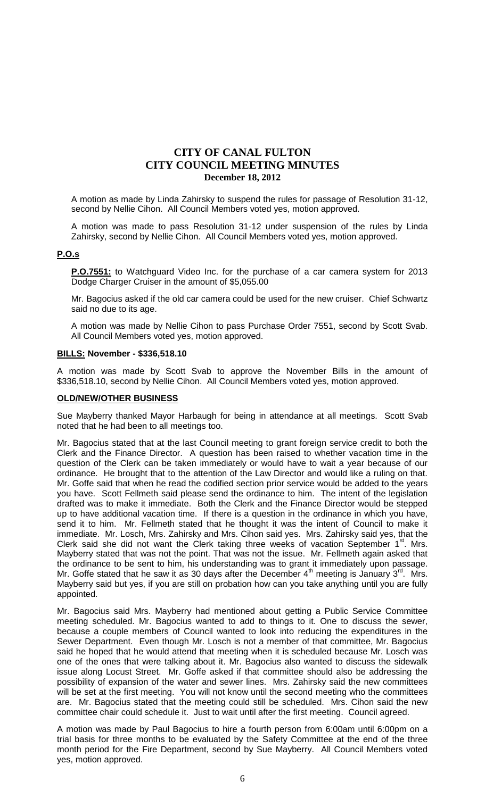A motion as made by Linda Zahirsky to suspend the rules for passage of Resolution 31-12, second by Nellie Cihon. All Council Members voted yes, motion approved.

A motion was made to pass Resolution 31-12 under suspension of the rules by Linda Zahirsky, second by Nellie Cihon. All Council Members voted yes, motion approved.

#### **P.O.s**

**P.O.7551:** to Watchguard Video Inc. for the purchase of a car camera system for 2013 Dodge Charger Cruiser in the amount of \$5,055.00

Mr. Bagocius asked if the old car camera could be used for the new cruiser. Chief Schwartz said no due to its age.

A motion was made by Nellie Cihon to pass Purchase Order 7551, second by Scott Svab. All Council Members voted yes, motion approved.

#### **BILLS: November - \$336,518.10**

A motion was made by Scott Svab to approve the November Bills in the amount of \$336,518.10, second by Nellie Cihon. All Council Members voted yes, motion approved.

#### **OLD/NEW/OTHER BUSINESS**

Sue Mayberry thanked Mayor Harbaugh for being in attendance at all meetings. Scott Svab noted that he had been to all meetings too.

Mr. Bagocius stated that at the last Council meeting to grant foreign service credit to both the Clerk and the Finance Director. A question has been raised to whether vacation time in the question of the Clerk can be taken immediately or would have to wait a year because of our ordinance. He brought that to the attention of the Law Director and would like a ruling on that. Mr. Goffe said that when he read the codified section prior service would be added to the years you have. Scott Fellmeth said please send the ordinance to him. The intent of the legislation drafted was to make it immediate. Both the Clerk and the Finance Director would be stepped up to have additional vacation time. If there is a question in the ordinance in which you have, send it to him. Mr. Fellmeth stated that he thought it was the intent of Council to make it immediate. Mr. Losch, Mrs. Zahirsky and Mrs. Cihon said yes. Mrs. Zahirsky said yes, that the Clerk said she did not want the Clerk taking three weeks of vacation September  $1<sup>st</sup>$ . Mrs. Mayberry stated that was not the point. That was not the issue. Mr. Fellmeth again asked that the ordinance to be sent to him, his understanding was to grant it immediately upon passage. Mr. Goffe stated that he saw it as 30 days after the December 4<sup>th</sup> meeting is January 3<sup>rd</sup>. Mrs. Mayberry said but yes, if you are still on probation how can you take anything until you are fully appointed.

Mr. Bagocius said Mrs. Mayberry had mentioned about getting a Public Service Committee meeting scheduled. Mr. Bagocius wanted to add to things to it. One to discuss the sewer, because a couple members of Council wanted to look into reducing the expenditures in the Sewer Department. Even though Mr. Losch is not a member of that committee, Mr. Bagocius said he hoped that he would attend that meeting when it is scheduled because Mr. Losch was one of the ones that were talking about it. Mr. Bagocius also wanted to discuss the sidewalk issue along Locust Street. Mr. Goffe asked if that committee should also be addressing the possibility of expansion of the water and sewer lines. Mrs. Zahirsky said the new committees will be set at the first meeting. You will not know until the second meeting who the committees are. Mr. Bagocius stated that the meeting could still be scheduled. Mrs. Cihon said the new committee chair could schedule it. Just to wait until after the first meeting. Council agreed.

A motion was made by Paul Bagocius to hire a fourth person from 6:00am until 6:00pm on a trial basis for three months to be evaluated by the Safety Committee at the end of the three month period for the Fire Department, second by Sue Mayberry. All Council Members voted yes, motion approved.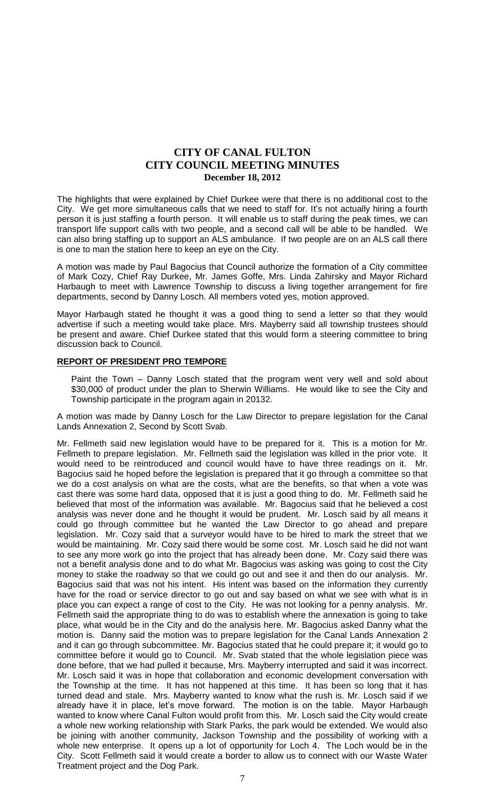The highlights that were explained by Chief Durkee were that there is no additional cost to the City. We get more simultaneous calls that we need to staff for. It's not actually hiring a fourth person it is just staffing a fourth person. It will enable us to staff during the peak times, we can transport life support calls with two people, and a second call will be able to be handled. We can also bring staffing up to support an ALS ambulance. If two people are on an ALS call there is one to man the station here to keep an eye on the City.

A motion was made by Paul Bagocius that Council authorize the formation of a City committee of Mark Cozy, Chief Ray Durkee, Mr. James Goffe, Mrs. Linda Zahirsky and Mayor Richard Harbaugh to meet with Lawrence Township to discuss a living together arrangement for fire departments, second by Danny Losch. All members voted yes, motion approved.

Mayor Harbaugh stated he thought it was a good thing to send a letter so that they would advertise if such a meeting would take place. Mrs. Mayberry said all township trustees should be present and aware. Chief Durkee stated that this would form a steering committee to bring discussion back to Council.

### **REPORT OF PRESIDENT PRO TEMPORE**

Paint the Town – Danny Losch stated that the program went very well and sold about \$30,000 of product under the plan to Sherwin Williams. He would like to see the City and Township participate in the program again in 20132.

A motion was made by Danny Losch for the Law Director to prepare legislation for the Canal Lands Annexation 2, Second by Scott Svab.

Mr. Fellmeth said new legislation would have to be prepared for it. This is a motion for Mr. Fellmeth to prepare legislation. Mr. Fellmeth said the legislation was killed in the prior vote. It would need to be reintroduced and council would have to have three readings on it. Mr. Bagocius said he hoped before the legislation is prepared that it go through a committee so that we do a cost analysis on what are the costs, what are the benefits, so that when a vote was cast there was some hard data, opposed that it is just a good thing to do. Mr. Fellmeth said he believed that most of the information was available. Mr. Bagocius said that he believed a cost analysis was never done and he thought it would be prudent. Mr. Losch said by all means it could go through committee but he wanted the Law Director to go ahead and prepare legislation. Mr. Cozy said that a surveyor would have to be hired to mark the street that we would be maintaining. Mr. Cozy said there would be some cost. Mr. Losch said he did not want to see any more work go into the project that has already been done. Mr. Cozy said there was not a benefit analysis done and to do what Mr. Bagocius was asking was going to cost the City money to stake the roadway so that we could go out and see it and then do our analysis. Mr. Bagocius said that was not his intent. His intent was based on the information they currently have for the road or service director to go out and say based on what we see with what is in place you can expect a range of cost to the City. He was not looking for a penny analysis. Mr. Fellmeth said the appropriate thing to do was to establish where the annexation is going to take place, what would be in the City and do the analysis here. Mr. Bagocius asked Danny what the motion is. Danny said the motion was to prepare legislation for the Canal Lands Annexation 2 and it can go through subcommittee. Mr. Bagocius stated that he could prepare it; it would go to committee before it would go to Council. Mr. Svab stated that the whole legislation piece was done before, that we had pulled it because, Mrs. Mayberry interrupted and said it was incorrect. Mr. Losch said it was in hope that collaboration and economic development conversation with the Township at the time. It has not happened at this time. It has been so long that it has turned dead and stale. Mrs. Mayberry wanted to know what the rush is. Mr. Losch said if we already have it in place, let's move forward. The motion is on the table. Mayor Harbaugh wanted to know where Canal Fulton would profit from this. Mr. Losch said the City would create a whole new working relationship with Stark Parks, the park would be extended. We would also be joining with another community, Jackson Township and the possibility of working with a whole new enterprise. It opens up a lot of opportunity for Loch 4. The Loch would be in the City. Scott Fellmeth said it would create a border to allow us to connect with our Waste Water Treatment project and the Dog Park.